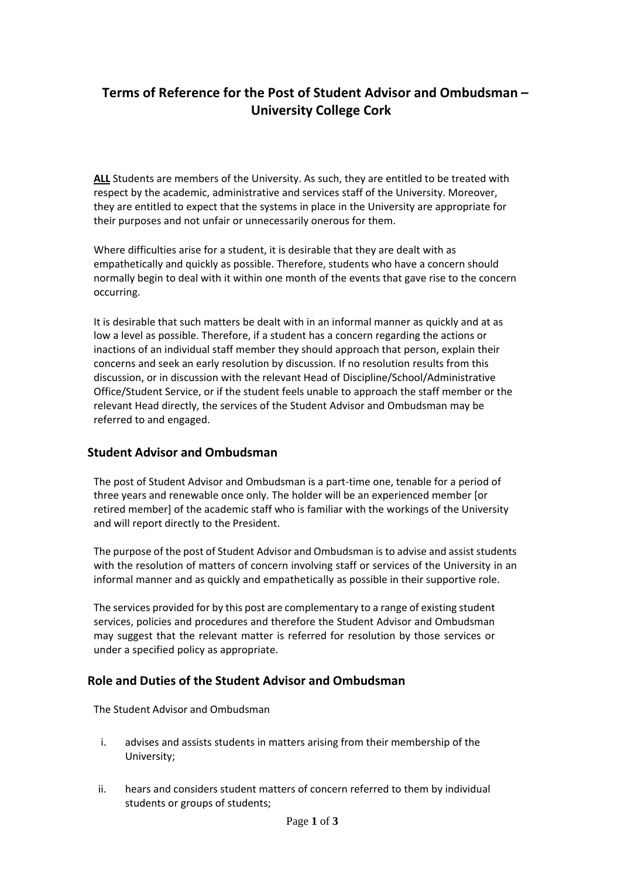# **Terms of Reference for the Post of Student Advisor and Ombudsman – University College Cork**

**ALL** Students are members of the University. As such, they are entitled to be treated with respect by the academic, administrative and services staff of the University. Moreover, they are entitled to expect that the systems in place in the University are appropriate for their purposes and not unfair or unnecessarily onerous for them.

Where difficulties arise for a student, it is desirable that they are dealt with as empathetically and quickly as possible. Therefore, students who have a concern should normally begin to deal with it within one month of the events that gave rise to the concern occurring.

It is desirable that such matters be dealt with in an informal manner as quickly and at as low a level as possible. Therefore, if a student has a concern regarding the actions or inactions of an individual staff member they should approach that person, explain their concerns and seek an early resolution by discussion. If no resolution results from this discussion, or in discussion with the relevant Head of Discipline/School/Administrative Office/Student Service, or if the student feels unable to approach the staff member or the relevant Head directly, the services of the Student Advisor and Ombudsman may be referred to and engaged.

#### **Student Advisor and Ombudsman**

The post of Student Advisor and Ombudsman is a part-time one, tenable for a period of three years and renewable once only. The holder will be an experienced member [or retired member] of the academic staff who is familiar with the workings of the University and will report directly to the President.

The purpose of the post of Student Advisor and Ombudsman is to advise and assist students with the resolution of matters of concern involving staff or services of the University in an informal manner and as quickly and empathetically as possible in their supportive role.

The services provided for by this post are complementary to a range of existing student services, policies and procedures and therefore the Student Advisor and Ombudsman may suggest that the relevant matter is referred for resolution by those services or under a specified policy as appropriate.

### **Role and Duties of the Student Advisor and Ombudsman**

The Student Advisor and Ombudsman

- i. advises and assists students in matters arising from their membership of the University;
- ii. hears and considers student matters of concern referred to them by individual students or groups of students;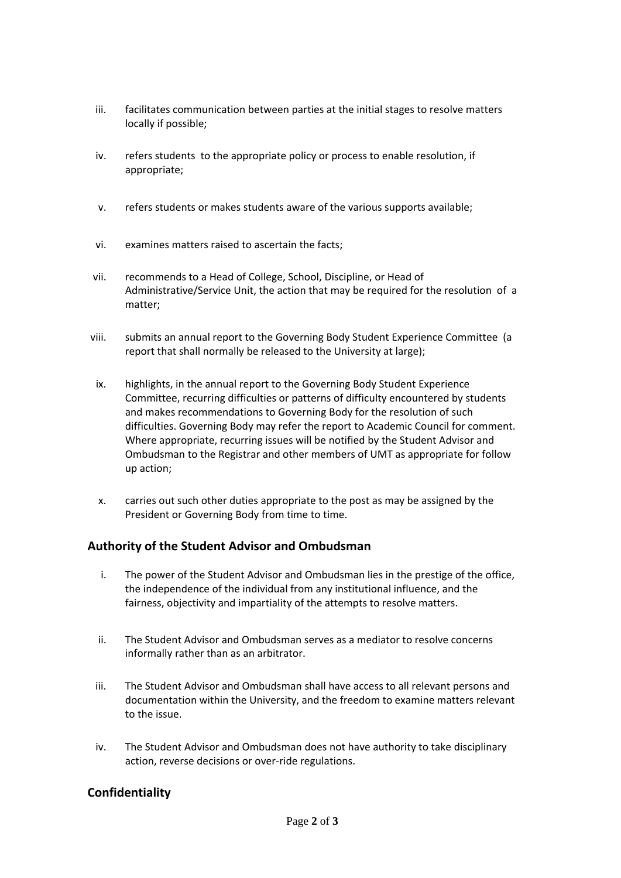- iii. facilitates communication between parties at the initial stages to resolve matters locally if possible;
- iv. refers students to the appropriate policy or process to enable resolution, if appropriate;
- v. refers students or makes students aware of the various supports available;
- vi. examines matters raised to ascertain the facts;
- vii. recommends to a Head of College, School, Discipline, or Head of Administrative/Service Unit, the action that may be required for the resolution of a matter;
- viii. submits an annual report to the Governing Body Student Experience Committee (a report that shall normally be released to the University at large);
- ix. highlights, in the annual report to the Governing Body Student Experience Committee, recurring difficulties or patterns of difficulty encountered by students and makes recommendations to Governing Body for the resolution of such difficulties. Governing Body may refer the report to Academic Council for comment. Where appropriate, recurring issues will be notified by the Student Advisor and Ombudsman to the Registrar and other members of UMT as appropriate for follow up action;
- x. carries out such other duties appropriate to the post as may be assigned by the President or Governing Body from time to time.

### **Authority of the Student Advisor and Ombudsman**

- i. The power of the Student Advisor and Ombudsman lies in the prestige of the office, the independence of the individual from any institutional influence, and the fairness, objectivity and impartiality of the attempts to resolve matters.
- ii. The Student Advisor and Ombudsman serves as a mediator to resolve concerns informally rather than as an arbitrator.
- iii. The Student Advisor and Ombudsman shall have access to all relevant persons and documentation within the University, and the freedom to examine matters relevant to the issue.
- iv. The Student Advisor and Ombudsman does not have authority to take disciplinary action, reverse decisions or over-ride regulations.

### **Confidentiality**